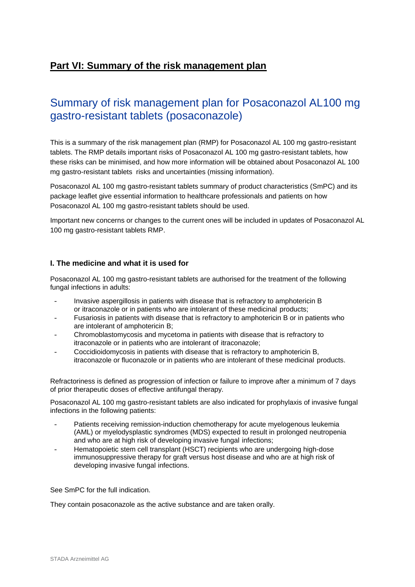# **Part VI: Summary of the risk management plan**

# Summary of risk management plan for Posaconazol AL100 mg gastro-resistant tablets (posaconazole)

This is a summary of the risk management plan (RMP) for Posaconazol AL 100 mg gastro-resistant tablets. The RMP details important risks of Posaconazol AL 100 mg gastro-resistant tablets, how these risks can be minimised, and how more information will be obtained about Posaconazol AL 100 mg gastro-resistant tablets risks and uncertainties (missing information).

Posaconazol AL 100 mg gastro-resistant tablets summary of product characteristics (SmPC) and its package leaflet give essential information to healthcare professionals and patients on how Posaconazol AL 100 mg gastro-resistant tablets should be used.

Important new concerns or changes to the current ones will be included in updates of Posaconazol AL 100 mg gastro-resistant tablets RMP.

## **I. The medicine and what it is used for**

Posaconazol AL 100 mg gastro-resistant tablets are authorised for the treatment of the following fungal infections in adults:

- Invasive aspergillosis in patients with disease that is refractory to amphotericin B or itraconazole or in patients who are intolerant of these medicinal products;
- Fusariosis in patients with disease that is refractory to amphotericin B or in patients who are intolerant of amphotericin B;
- Chromoblastomycosis and mycetoma in patients with disease that is refractory to itraconazole or in patients who are intolerant of itraconazole;
- Coccidioidomycosis in patients with disease that is refractory to amphotericin B, itraconazole or fluconazole or in patients who are intolerant of these medicinal products.

Refractoriness is defined as progression of infection or failure to improve after a minimum of 7 days of prior therapeutic doses of effective antifungal therapy*.*

Posaconazol AL 100 mg gastro-resistant tablets are also indicated for prophylaxis of invasive fungal infections in the following patients:

- Patients receiving remission-induction chemotherapy for acute myelogenous leukemia (AML) or myelodysplastic syndromes (MDS) expected to result in prolonged neutropenia and who are at high risk of developing invasive fungal infections:
- Hematopoietic stem cell transplant (HSCT) recipients who are undergoing high-dose immunosuppressive therapy for graft versus host disease and who are at high risk of developing invasive fungal infections.

See SmPC for the full indication.

They contain posaconazole as the active substance and are taken orally.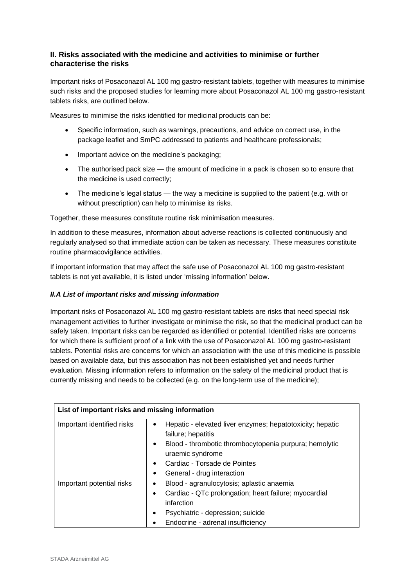# **II. Risks associated with the medicine and activities to minimise or further characterise the risks**

Important risks of Posaconazol AL 100 mg gastro-resistant tablets, together with measures to minimise such risks and the proposed studies for learning more about Posaconazol AL 100 mg gastro-resistant tablets risks, are outlined below.

Measures to minimise the risks identified for medicinal products can be:

- Specific information, such as warnings, precautions, and advice on correct use, in the package leaflet and SmPC addressed to patients and healthcare professionals;
- Important advice on the medicine's packaging;
- The authorised pack size the amount of medicine in a pack is chosen so to ensure that the medicine is used correctly;
- The medicine's legal status the way a medicine is supplied to the patient (e.g. with or without prescription) can help to minimise its risks.

Together, these measures constitute routine risk minimisation measures.

In addition to these measures, information about adverse reactions is collected continuously and regularly analysed so that immediate action can be taken as necessary. These measures constitute routine pharmacovigilance activities.

If important information that may affect the safe use of Posaconazol AL 100 mg gastro-resistant tablets is not yet available, it is listed under 'missing information' below.

## *II.A List of important risks and missing information*

Important risks of Posaconazol AL 100 mg gastro-resistant tablets are risks that need special risk management activities to further investigate or minimise the risk, so that the medicinal product can be safely taken. Important risks can be regarded as identified or potential. Identified risks are concerns for which there is sufficient proof of a link with the use of Posaconazol AL 100 mg gastro-resistant tablets. Potential risks are concerns for which an association with the use of this medicine is possible based on available data, but this association has not been established yet and needs further evaluation. Missing information refers to information on the safety of the medicinal product that is currently missing and needs to be collected (e.g. on the long-term use of the medicine);

| List of important risks and missing information |                                                                                                                                                                                                                                          |  |
|-------------------------------------------------|------------------------------------------------------------------------------------------------------------------------------------------------------------------------------------------------------------------------------------------|--|
| Important identified risks                      | Hepatic - elevated liver enzymes; hepatotoxicity; hepatic<br>failure; hepatitis<br>Blood - thrombotic thrombocytopenia purpura; hemolytic<br>$\bullet$<br>uraemic syndrome<br>Cardiac - Torsade de Pointes<br>General - drug interaction |  |
| Important potential risks                       | Blood - agranulocytosis; aplastic anaemia<br>Cardiac - QTc prolongation; heart failure; myocardial<br>infarction<br>Psychiatric - depression; suicide<br>٠<br>Endocrine - adrenal insufficiency                                          |  |